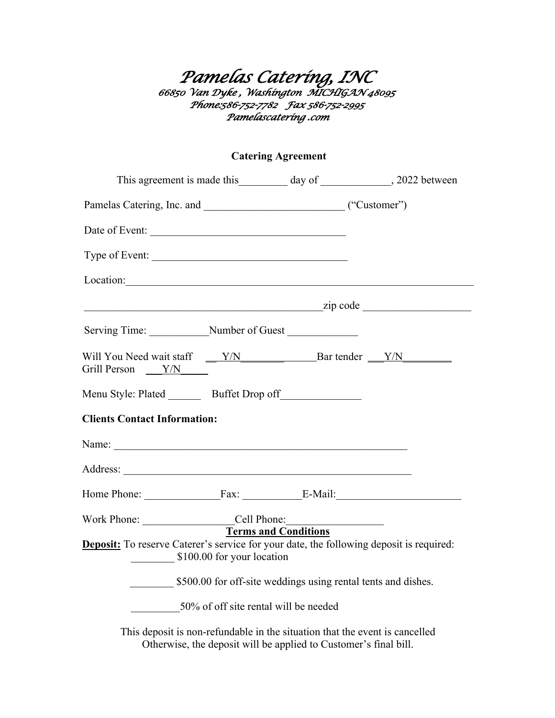## *Pamelas Catering, INC 66850 Van Dyke , Washington MICHIGAN 48095 Phone:586-752-7782 Fax 586-752-2995 Pamelascatering .com*

## **Catering Agreement**

|                                                                                                                                                                                     |                                                           |                                                                                                                                                 | This agreement is made this __________ day of ______________, 2022 between |
|-------------------------------------------------------------------------------------------------------------------------------------------------------------------------------------|-----------------------------------------------------------|-------------------------------------------------------------------------------------------------------------------------------------------------|----------------------------------------------------------------------------|
|                                                                                                                                                                                     |                                                           |                                                                                                                                                 |                                                                            |
| Date of Event:                                                                                                                                                                      |                                                           |                                                                                                                                                 |                                                                            |
| Type of Event:                                                                                                                                                                      |                                                           |                                                                                                                                                 |                                                                            |
| Location:                                                                                                                                                                           |                                                           |                                                                                                                                                 |                                                                            |
| $\frac{1}{\text{zip code}}$                                                                                                                                                         |                                                           |                                                                                                                                                 |                                                                            |
| Serving Time: Number of Guest                                                                                                                                                       |                                                           |                                                                                                                                                 |                                                                            |
| Will You Need wait staff $\sqrt{Y/N}$ Bar tender $\sqrt{Y/N}$<br>Grill Person $\sqrt{Y/N}$                                                                                          |                                                           |                                                                                                                                                 |                                                                            |
| Menu Style: Plated _________ Buffet Drop off _______________                                                                                                                        |                                                           |                                                                                                                                                 |                                                                            |
| <b>Clients Contact Information:</b>                                                                                                                                                 |                                                           |                                                                                                                                                 |                                                                            |
|                                                                                                                                                                                     |                                                           |                                                                                                                                                 |                                                                            |
|                                                                                                                                                                                     |                                                           |                                                                                                                                                 |                                                                            |
| Home Phone: Fax: E-Mail:                                                                                                                                                            |                                                           |                                                                                                                                                 |                                                                            |
| Work Phone: _________________________Cell Phone: ________________________________<br><b>Deposit:</b> To reserve Caterer's service for your date, the following deposit is required: | <b>Terms and Conditions</b><br>\$100.00 for your location |                                                                                                                                                 |                                                                            |
|                                                                                                                                                                                     |                                                           | \$500.00 for off-site weddings using rental tents and dishes.                                                                                   |                                                                            |
|                                                                                                                                                                                     | 50% of off site rental will be needed                     |                                                                                                                                                 |                                                                            |
|                                                                                                                                                                                     |                                                           | This deposit is non-refundable in the situation that the event is cancelled<br>Otherwise, the deposit will be applied to Customer's final bill. |                                                                            |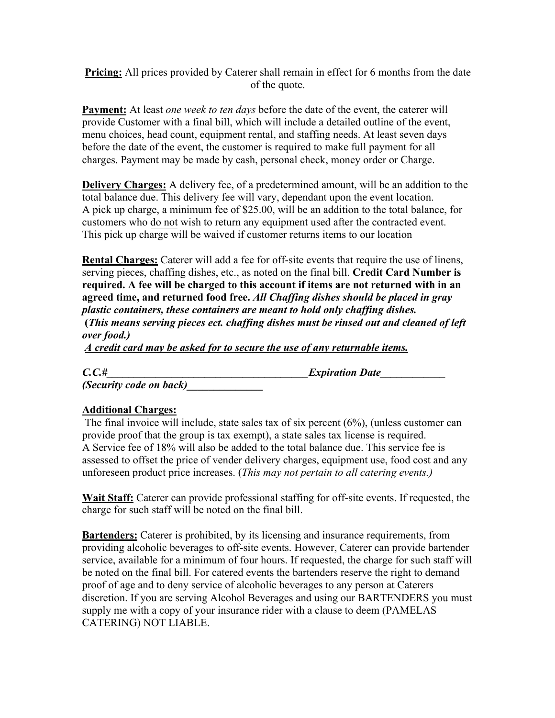**Pricing:** All prices provided by Caterer shall remain in effect for 6 months from the date of the quote.

**Payment:** At least *one week to ten days* before the date of the event, the caterer will provide Customer with a final bill, which will include a detailed outline of the event, menu choices, head count, equipment rental, and staffing needs. At least seven days before the date of the event, the customer is required to make full payment for all charges. Payment may be made by cash, personal check, money order or Charge.

**Delivery Charges:** A delivery fee, of a predetermined amount, will be an addition to the total balance due. This delivery fee will vary, dependant upon the event location. A pick up charge, a minimum fee of \$25.00, will be an addition to the total balance, for customers who do not wish to return any equipment used after the contracted event. This pick up charge will be waived if customer returns items to our location

**Rental Charges:** Caterer will add a fee for off-site events that require the use of linens, serving pieces, chaffing dishes, etc., as noted on the final bill. **Credit Card Number is required. A fee will be charged to this account if items are not returned with in an agreed time, and returned food free.** *All Chaffing dishes should be placed in gray plastic containers, these containers are meant to hold only chaffing dishes.*   **(***This means serving pieces ect. chaffing dishes must be rinsed out and cleaned of left* 

*over food.) A credit card may be asked for to secure the use of any returnable items.*

 $C.C.$ #

*(Security code on back)\_\_\_\_\_\_\_\_\_\_\_\_\_\_*

## **Additional Charges:**

 The final invoice will include, state sales tax of six percent (6%), (unless customer can provide proof that the group is tax exempt), a state sales tax license is required. A Service fee of 18% will also be added to the total balance due. This service fee is assessed to offset the price of vender delivery charges, equipment use, food cost and any unforeseen product price increases. (*This may not pertain to all catering events.)*

**Wait Staff:** Caterer can provide professional staffing for off-site events. If requested, the charge for such staff will be noted on the final bill.

**Bartenders:** Caterer is prohibited, by its licensing and insurance requirements, from providing alcoholic beverages to off-site events. However, Caterer can provide bartender service, available for a minimum of four hours. If requested, the charge for such staff will be noted on the final bill. For catered events the bartenders reserve the right to demand proof of age and to deny service of alcoholic beverages to any person at Caterers discretion. If you are serving Alcohol Beverages and using our BARTENDERS you must supply me with a copy of your insurance rider with a clause to deem (PAMELAS CATERING) NOT LIABLE.